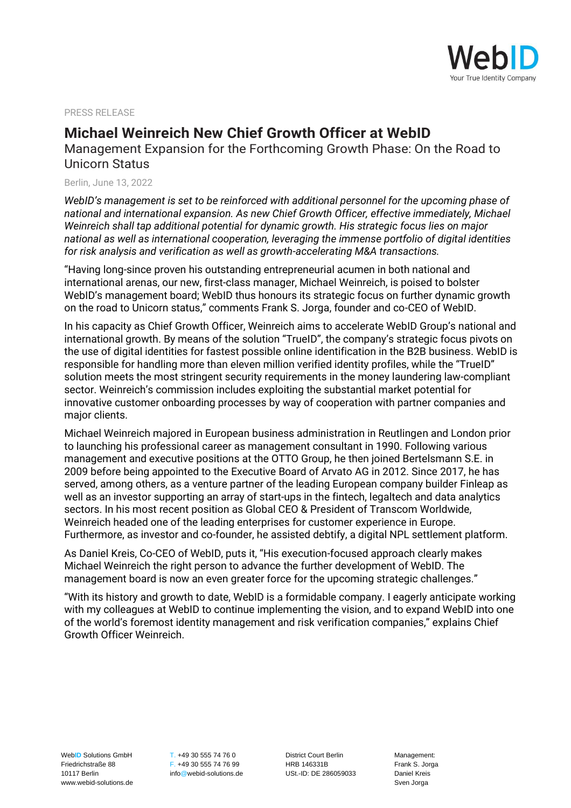

PRESS RELEASE

## **Michael Weinreich New Chief Growth Officer at WebID**

Management Expansion for the Forthcoming Growth Phase: On the Road to Unicorn Status

Berlin, June 13, 2022

*WebID's management is set to be reinforced with additional personnel for the upcoming phase of national and international expansion. As new Chief Growth Officer, effective immediately, Michael Weinreich shall tap additional potential for dynamic growth. His strategic focus lies on major national as well as international cooperation, leveraging the immense portfolio of digital identities for risk analysis and verification as well as growth-accelerating M&A transactions.*

"Having long-since proven his outstanding entrepreneurial acumen in both national and international arenas, our new, first-class manager, Michael Weinreich, is poised to bolster WebID's management board; WebID thus honours its strategic focus on further dynamic growth on the road to Unicorn status," comments Frank S. Jorga, founder and co-CEO of WebID.

In his capacity as Chief Growth Officer, Weinreich aims to accelerate WebID Group's national and international growth. By means of the solution "TrueID", the company's strategic focus pivots on the use of digital identities for fastest possible online identification in the B2B business. WebID is responsible for handling more than eleven million verified identity profiles, while the "TrueID" solution meets the most stringent security requirements in the money laundering law-compliant sector. Weinreich's commission includes exploiting the substantial market potential for innovative customer onboarding processes by way of cooperation with partner companies and major clients.

Michael Weinreich majored in European business administration in Reutlingen and London prior to launching his professional career as management consultant in 1990. Following various management and executive positions at the OTTO Group, he then joined Bertelsmann S.E. in 2009 before being appointed to the Executive Board of Arvato AG in 2012. Since 2017, he has served, among others, as a venture partner of the leading European company builder Finleap as well as an investor supporting an array of start-ups in the fintech, legaltech and data analytics sectors. In his most recent position as Global CEO & President of Transcom Worldwide, Weinreich headed one of the leading enterprises for customer experience in Europe. Furthermore, as investor and co-founder, he assisted debtify, a digital NPL settlement platform.

As Daniel Kreis, Co-CEO of WebID, puts it, "His execution-focused approach clearly makes Michael Weinreich the right person to advance the further development of WebID. The management board is now an even greater force for the upcoming strategic challenges."

"With its history and growth to date, WebID is a formidable company. I eagerly anticipate working with my colleagues at WebID to continue implementing the vision, and to expand WebID into one of the world's foremost identity management and risk verification companies," explains Chief Growth Officer Weinreich.